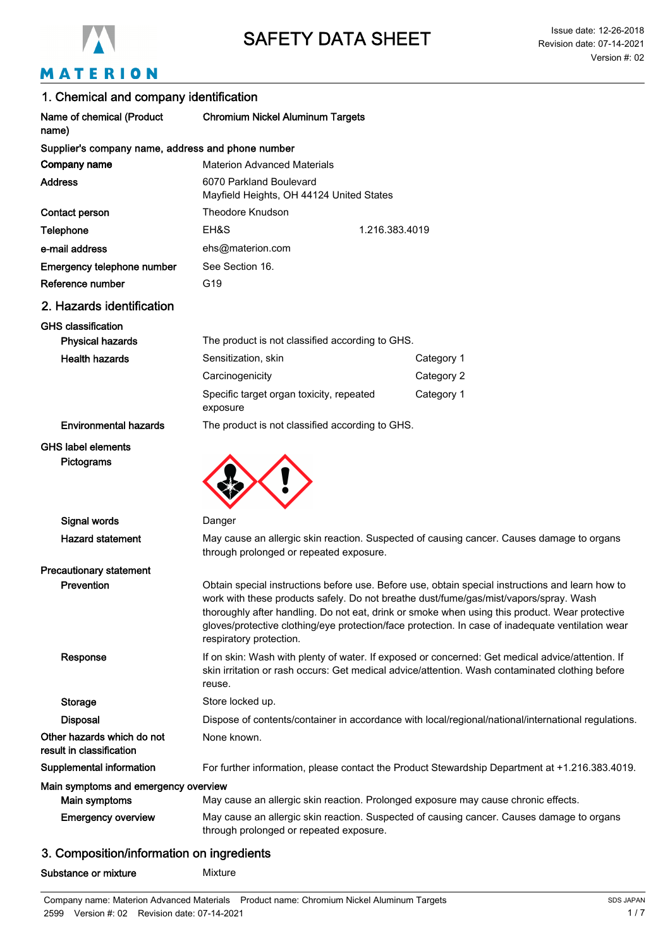

# MATERION

| 1. Chemical and company identification                 |                                                                                                                                                                                                                                                                                                                                                                                                                             |                |  |  |
|--------------------------------------------------------|-----------------------------------------------------------------------------------------------------------------------------------------------------------------------------------------------------------------------------------------------------------------------------------------------------------------------------------------------------------------------------------------------------------------------------|----------------|--|--|
| Name of chemical (Product<br>name)                     | <b>Chromium Nickel Aluminum Targets</b>                                                                                                                                                                                                                                                                                                                                                                                     |                |  |  |
| Supplier's company name, address and phone number      |                                                                                                                                                                                                                                                                                                                                                                                                                             |                |  |  |
| Company name                                           | <b>Materion Advanced Materials</b>                                                                                                                                                                                                                                                                                                                                                                                          |                |  |  |
| <b>Address</b>                                         | 6070 Parkland Boulevard<br>Mayfield Heights, OH 44124 United States                                                                                                                                                                                                                                                                                                                                                         |                |  |  |
| Contact person                                         | <b>Theodore Knudson</b>                                                                                                                                                                                                                                                                                                                                                                                                     |                |  |  |
| Telephone                                              | EH&S                                                                                                                                                                                                                                                                                                                                                                                                                        | 1.216.383.4019 |  |  |
| e-mail address                                         | ehs@materion.com                                                                                                                                                                                                                                                                                                                                                                                                            |                |  |  |
| Emergency telephone number                             | See Section 16.                                                                                                                                                                                                                                                                                                                                                                                                             |                |  |  |
| Reference number                                       | G19                                                                                                                                                                                                                                                                                                                                                                                                                         |                |  |  |
| 2. Hazards identification                              |                                                                                                                                                                                                                                                                                                                                                                                                                             |                |  |  |
| <b>GHS classification</b><br><b>Physical hazards</b>   | The product is not classified according to GHS.                                                                                                                                                                                                                                                                                                                                                                             |                |  |  |
| <b>Health hazards</b>                                  | Sensitization, skin                                                                                                                                                                                                                                                                                                                                                                                                         | Category 1     |  |  |
|                                                        | Carcinogenicity                                                                                                                                                                                                                                                                                                                                                                                                             | Category 2     |  |  |
|                                                        | Specific target organ toxicity, repeated<br>exposure                                                                                                                                                                                                                                                                                                                                                                        | Category 1     |  |  |
| <b>Environmental hazards</b>                           | The product is not classified according to GHS.                                                                                                                                                                                                                                                                                                                                                                             |                |  |  |
| <b>GHS label elements</b><br>Pictograms                |                                                                                                                                                                                                                                                                                                                                                                                                                             |                |  |  |
| Signal words                                           | Danger                                                                                                                                                                                                                                                                                                                                                                                                                      |                |  |  |
| <b>Hazard statement</b>                                | May cause an allergic skin reaction. Suspected of causing cancer. Causes damage to organs<br>through prolonged or repeated exposure.                                                                                                                                                                                                                                                                                        |                |  |  |
| <b>Precautionary statement</b>                         |                                                                                                                                                                                                                                                                                                                                                                                                                             |                |  |  |
| Prevention                                             | Obtain special instructions before use. Before use, obtain special instructions and learn how to<br>work with these products safely. Do not breathe dust/fume/gas/mist/vapors/spray. Wash<br>thoroughly after handling. Do not eat, drink or smoke when using this product. Wear protective<br>gloves/protective clothing/eye protection/face protection. In case of inadequate ventilation wear<br>respiratory protection. |                |  |  |
| Response                                               | If on skin: Wash with plenty of water. If exposed or concerned: Get medical advice/attention. If<br>skin irritation or rash occurs: Get medical advice/attention. Wash contaminated clothing before<br>reuse.                                                                                                                                                                                                               |                |  |  |
| <b>Storage</b>                                         | Store locked up.                                                                                                                                                                                                                                                                                                                                                                                                            |                |  |  |
| <b>Disposal</b>                                        | Dispose of contents/container in accordance with local/regional/national/international regulations.                                                                                                                                                                                                                                                                                                                         |                |  |  |
| Other hazards which do not<br>result in classification | None known.                                                                                                                                                                                                                                                                                                                                                                                                                 |                |  |  |
| Supplemental information                               | For further information, please contact the Product Stewardship Department at +1.216.383.4019.                                                                                                                                                                                                                                                                                                                              |                |  |  |
| Main symptoms and emergency overview<br>Main symptoms  | May cause an allergic skin reaction. Prolonged exposure may cause chronic effects.                                                                                                                                                                                                                                                                                                                                          |                |  |  |
| <b>Emergency overview</b>                              | May cause an allergic skin reaction. Suspected of causing cancer. Causes damage to organs<br>through prolonged or repeated exposure.                                                                                                                                                                                                                                                                                        |                |  |  |
|                                                        |                                                                                                                                                                                                                                                                                                                                                                                                                             |                |  |  |

### 3. Composition/information on ingredients

Substance or mixture Mixture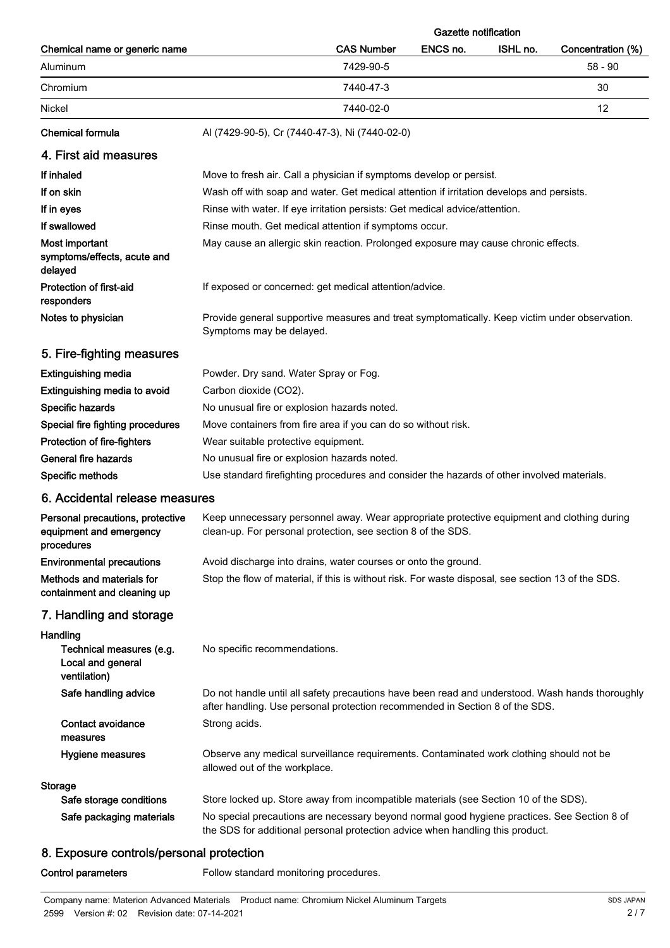|                                                                           |                                                                                                                                                                                 |                   | <b>Gazette notification</b> |          |                   |
|---------------------------------------------------------------------------|---------------------------------------------------------------------------------------------------------------------------------------------------------------------------------|-------------------|-----------------------------|----------|-------------------|
| Chemical name or generic name                                             |                                                                                                                                                                                 | <b>CAS Number</b> | ENCS no.                    | ISHL no. | Concentration (%) |
| Aluminum                                                                  |                                                                                                                                                                                 | 7429-90-5         |                             |          | $58 - 90$         |
| Chromium                                                                  |                                                                                                                                                                                 | 7440-47-3         |                             |          | 30                |
| Nickel                                                                    |                                                                                                                                                                                 | 7440-02-0         |                             |          | 12                |
| <b>Chemical formula</b>                                                   | Al (7429-90-5), Cr (7440-47-3), Ni (7440-02-0)                                                                                                                                  |                   |                             |          |                   |
| 4. First aid measures                                                     |                                                                                                                                                                                 |                   |                             |          |                   |
| If inhaled                                                                | Move to fresh air. Call a physician if symptoms develop or persist.                                                                                                             |                   |                             |          |                   |
| If on skin                                                                | Wash off with soap and water. Get medical attention if irritation develops and persists.                                                                                        |                   |                             |          |                   |
| If in eyes                                                                | Rinse with water. If eye irritation persists: Get medical advice/attention.                                                                                                     |                   |                             |          |                   |
| If swallowed                                                              | Rinse mouth. Get medical attention if symptoms occur.                                                                                                                           |                   |                             |          |                   |
| Most important<br>symptoms/effects, acute and<br>delayed                  | May cause an allergic skin reaction. Prolonged exposure may cause chronic effects.                                                                                              |                   |                             |          |                   |
| Protection of first-aid<br>responders                                     | If exposed or concerned: get medical attention/advice.                                                                                                                          |                   |                             |          |                   |
| Notes to physician                                                        | Provide general supportive measures and treat symptomatically. Keep victim under observation.<br>Symptoms may be delayed.                                                       |                   |                             |          |                   |
| 5. Fire-fighting measures                                                 |                                                                                                                                                                                 |                   |                             |          |                   |
| <b>Extinguishing media</b>                                                | Powder. Dry sand. Water Spray or Fog.                                                                                                                                           |                   |                             |          |                   |
| Extinguishing media to avoid                                              | Carbon dioxide (CO2).                                                                                                                                                           |                   |                             |          |                   |
| Specific hazards                                                          | No unusual fire or explosion hazards noted.                                                                                                                                     |                   |                             |          |                   |
| Special fire fighting procedures                                          | Move containers from fire area if you can do so without risk.                                                                                                                   |                   |                             |          |                   |
| Protection of fire-fighters                                               | Wear suitable protective equipment.                                                                                                                                             |                   |                             |          |                   |
| General fire hazards                                                      | No unusual fire or explosion hazards noted.                                                                                                                                     |                   |                             |          |                   |
| Specific methods                                                          | Use standard firefighting procedures and consider the hazards of other involved materials.                                                                                      |                   |                             |          |                   |
| 6. Accidental release measures                                            |                                                                                                                                                                                 |                   |                             |          |                   |
| Personal precautions, protective<br>equipment and emergency<br>procedures | Keep unnecessary personnel away. Wear appropriate protective equipment and clothing during<br>clean-up. For personal protection, see section 8 of the SDS.                      |                   |                             |          |                   |
| <b>Environmental precautions</b>                                          | Avoid discharge into drains, water courses or onto the ground.                                                                                                                  |                   |                             |          |                   |
| Methods and materials for<br>containment and cleaning up                  | Stop the flow of material, if this is without risk. For waste disposal, see section 13 of the SDS.                                                                              |                   |                             |          |                   |
| 7. Handling and storage                                                   |                                                                                                                                                                                 |                   |                             |          |                   |
| Handling<br>Technical measures (e.g.<br>Local and general<br>ventilation) | No specific recommendations.                                                                                                                                                    |                   |                             |          |                   |
| Safe handling advice                                                      | Do not handle until all safety precautions have been read and understood. Wash hands thoroughly<br>after handling. Use personal protection recommended in Section 8 of the SDS. |                   |                             |          |                   |
| <b>Contact avoidance</b><br>measures                                      | Strong acids.                                                                                                                                                                   |                   |                             |          |                   |
| Hygiene measures                                                          | Observe any medical surveillance requirements. Contaminated work clothing should not be<br>allowed out of the workplace.                                                        |                   |                             |          |                   |
| Storage                                                                   |                                                                                                                                                                                 |                   |                             |          |                   |
| Safe storage conditions                                                   | Store locked up. Store away from incompatible materials (see Section 10 of the SDS).                                                                                            |                   |                             |          |                   |
| Safe packaging materials                                                  | No special precautions are necessary beyond normal good hygiene practices. See Section 8 of<br>the SDS for additional personal protection advice when handling this product.    |                   |                             |          |                   |
| 8 Experits controls/personal protection                                   |                                                                                                                                                                                 |                   |                             |          |                   |

### 8. Exposure controls/personal protection

Control parameters **Follow** standard monitoring procedures.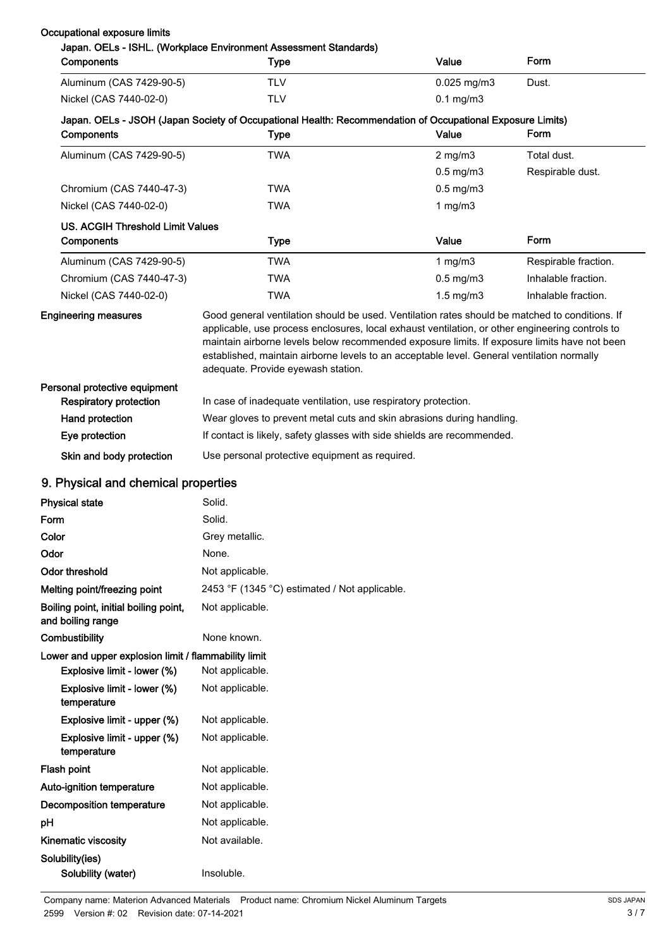| <b>Components</b>                                          | Japan. OELs - ISHL. (Workplace Environment Assessment Standards)<br><b>Type</b>                                                                                                                                                                                                                                                                                                                                                       | Value                | Form                 |  |
|------------------------------------------------------------|---------------------------------------------------------------------------------------------------------------------------------------------------------------------------------------------------------------------------------------------------------------------------------------------------------------------------------------------------------------------------------------------------------------------------------------|----------------------|----------------------|--|
| Aluminum (CAS 7429-90-5)                                   | <b>TLV</b>                                                                                                                                                                                                                                                                                                                                                                                                                            | $0.025$ mg/m3        | Dust.                |  |
| Nickel (CAS 7440-02-0)                                     | <b>TLV</b>                                                                                                                                                                                                                                                                                                                                                                                                                            | $0.1$ mg/m $3$       |                      |  |
|                                                            | Japan. OELs - JSOH (Japan Society of Occupational Health: Recommendation of Occupational Exposure Limits)                                                                                                                                                                                                                                                                                                                             |                      |                      |  |
| Components                                                 | <b>Type</b>                                                                                                                                                                                                                                                                                                                                                                                                                           | Value                | Form                 |  |
| Aluminum (CAS 7429-90-5)                                   | <b>TWA</b>                                                                                                                                                                                                                                                                                                                                                                                                                            | $2$ mg/m $3$         | Total dust.          |  |
|                                                            |                                                                                                                                                                                                                                                                                                                                                                                                                                       | $0.5$ mg/m $3$       | Respirable dust.     |  |
| Chromium (CAS 7440-47-3)                                   | <b>TWA</b>                                                                                                                                                                                                                                                                                                                                                                                                                            | $0.5$ mg/m $3$       |                      |  |
| Nickel (CAS 7440-02-0)                                     | <b>TWA</b>                                                                                                                                                                                                                                                                                                                                                                                                                            | 1 $mg/m3$            |                      |  |
| <b>US. ACGIH Threshold Limit Values</b>                    |                                                                                                                                                                                                                                                                                                                                                                                                                                       |                      |                      |  |
| Components                                                 | <b>Type</b>                                                                                                                                                                                                                                                                                                                                                                                                                           | Value                | Form                 |  |
| Aluminum (CAS 7429-90-5)                                   | <b>TWA</b>                                                                                                                                                                                                                                                                                                                                                                                                                            | 1 $mg/m3$            | Respirable fraction. |  |
| Chromium (CAS 7440-47-3)                                   | <b>TWA</b>                                                                                                                                                                                                                                                                                                                                                                                                                            | $0.5$ mg/m $3$       | Inhalable fraction.  |  |
| Nickel (CAS 7440-02-0)                                     | <b>TWA</b>                                                                                                                                                                                                                                                                                                                                                                                                                            | $1.5 \text{ mg/m}$ 3 | Inhalable fraction.  |  |
| <b>Engineering measures</b>                                | Good general ventilation should be used. Ventilation rates should be matched to conditions. If<br>applicable, use process enclosures, local exhaust ventilation, or other engineering controls to<br>maintain airborne levels below recommended exposure limits. If exposure limits have not been<br>established, maintain airborne levels to an acceptable level. General ventilation normally<br>adequate. Provide eyewash station. |                      |                      |  |
| Personal protective equipment                              |                                                                                                                                                                                                                                                                                                                                                                                                                                       |                      |                      |  |
| <b>Respiratory protection</b>                              | In case of inadequate ventilation, use respiratory protection.                                                                                                                                                                                                                                                                                                                                                                        |                      |                      |  |
| Hand protection                                            | Wear gloves to prevent metal cuts and skin abrasions during handling.                                                                                                                                                                                                                                                                                                                                                                 |                      |                      |  |
| Eye protection                                             | If contact is likely, safety glasses with side shields are recommended.                                                                                                                                                                                                                                                                                                                                                               |                      |                      |  |
| Skin and body protection                                   | Use personal protective equipment as required.                                                                                                                                                                                                                                                                                                                                                                                        |                      |                      |  |
| 9. Physical and chemical properties                        |                                                                                                                                                                                                                                                                                                                                                                                                                                       |                      |                      |  |
| <b>Physical state</b>                                      | Solid.                                                                                                                                                                                                                                                                                                                                                                                                                                |                      |                      |  |
| Form                                                       | Solid.                                                                                                                                                                                                                                                                                                                                                                                                                                |                      |                      |  |
| Color                                                      | Grey metallic.                                                                                                                                                                                                                                                                                                                                                                                                                        |                      |                      |  |
| Odor                                                       | None.                                                                                                                                                                                                                                                                                                                                                                                                                                 |                      |                      |  |
| <b>Odor threshold</b>                                      | Not applicable.                                                                                                                                                                                                                                                                                                                                                                                                                       |                      |                      |  |
| Melting point/freezing point                               | 2453 °F (1345 °C) estimated / Not applicable.                                                                                                                                                                                                                                                                                                                                                                                         |                      |                      |  |
| Boiling point, initial boiling point,<br>and boiling range | Not applicable.                                                                                                                                                                                                                                                                                                                                                                                                                       |                      |                      |  |
| Combustibility                                             | None known.                                                                                                                                                                                                                                                                                                                                                                                                                           |                      |                      |  |
| Lower and upper explosion limit / flammability limit       |                                                                                                                                                                                                                                                                                                                                                                                                                                       |                      |                      |  |
| Explosive limit - lower (%)                                | Not applicable.                                                                                                                                                                                                                                                                                                                                                                                                                       |                      |                      |  |
| Explosive limit - lower (%)<br>temperature                 | Not applicable.                                                                                                                                                                                                                                                                                                                                                                                                                       |                      |                      |  |
| Explosive limit - upper (%)                                | Not applicable.                                                                                                                                                                                                                                                                                                                                                                                                                       |                      |                      |  |
| Explosive limit - upper (%)<br>temperature                 | Not applicable.                                                                                                                                                                                                                                                                                                                                                                                                                       |                      |                      |  |
| Flash point                                                | Not applicable.                                                                                                                                                                                                                                                                                                                                                                                                                       |                      |                      |  |
| Auto-ignition temperature                                  | Not applicable.                                                                                                                                                                                                                                                                                                                                                                                                                       |                      |                      |  |
| Decomposition temperature                                  | Not applicable.                                                                                                                                                                                                                                                                                                                                                                                                                       |                      |                      |  |
| рH                                                         | Not applicable.                                                                                                                                                                                                                                                                                                                                                                                                                       |                      |                      |  |
| Kinematic viscosity                                        | Not available.                                                                                                                                                                                                                                                                                                                                                                                                                        |                      |                      |  |
| Solubility(ies)                                            |                                                                                                                                                                                                                                                                                                                                                                                                                                       |                      |                      |  |
| Solubility (water)                                         | Insoluble.                                                                                                                                                                                                                                                                                                                                                                                                                            |                      |                      |  |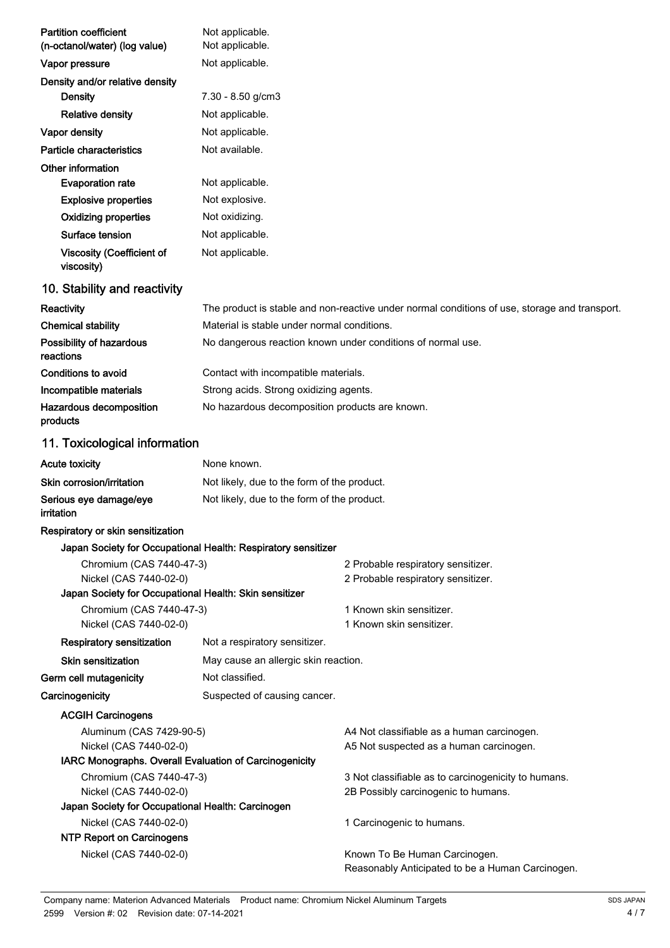| <b>Partition coefficient</b><br>(n-octanol/water) (log value)               | Not applicable.<br>Not applicable.                            |                                                                                               |  |  |
|-----------------------------------------------------------------------------|---------------------------------------------------------------|-----------------------------------------------------------------------------------------------|--|--|
| Vapor pressure                                                              | Not applicable.                                               |                                                                                               |  |  |
| Density and/or relative density                                             |                                                               |                                                                                               |  |  |
| Density                                                                     | 7.30 - 8.50 g/cm3                                             |                                                                                               |  |  |
| <b>Relative density</b>                                                     | Not applicable.                                               |                                                                                               |  |  |
| Vapor density                                                               | Not applicable.                                               |                                                                                               |  |  |
| Particle characteristics                                                    | Not available.                                                |                                                                                               |  |  |
| Other information                                                           |                                                               |                                                                                               |  |  |
| <b>Evaporation rate</b>                                                     | Not applicable.                                               |                                                                                               |  |  |
| <b>Explosive properties</b>                                                 | Not explosive.                                                |                                                                                               |  |  |
| <b>Oxidizing properties</b>                                                 | Not oxidizing.                                                |                                                                                               |  |  |
| Surface tension                                                             | Not applicable.                                               |                                                                                               |  |  |
| <b>Viscosity (Coefficient of</b><br>viscosity)                              | Not applicable.                                               |                                                                                               |  |  |
| 10. Stability and reactivity                                                |                                                               |                                                                                               |  |  |
| Reactivity                                                                  |                                                               | The product is stable and non-reactive under normal conditions of use, storage and transport. |  |  |
| <b>Chemical stability</b>                                                   | Material is stable under normal conditions.                   |                                                                                               |  |  |
| Possibility of hazardous<br>reactions                                       |                                                               | No dangerous reaction known under conditions of normal use.                                   |  |  |
| Conditions to avoid                                                         | Contact with incompatible materials.                          |                                                                                               |  |  |
| Incompatible materials                                                      | Strong acids. Strong oxidizing agents.                        |                                                                                               |  |  |
| Hazardous decomposition<br>products                                         | No hazardous decomposition products are known.                |                                                                                               |  |  |
| 11. Toxicological information                                               |                                                               |                                                                                               |  |  |
| <b>Acute toxicity</b>                                                       | None known.                                                   |                                                                                               |  |  |
| Skin corrosion/irritation                                                   | Not likely, due to the form of the product.                   |                                                                                               |  |  |
| Serious eye damage/eye<br>irritation                                        | Not likely, due to the form of the product.                   |                                                                                               |  |  |
| Respiratory or skin sensitization                                           |                                                               |                                                                                               |  |  |
|                                                                             | Japan Society for Occupational Health: Respiratory sensitizer |                                                                                               |  |  |
| Chromium (CAS 7440-47-3)<br>Nickel (CAS 7440-02-0)                          |                                                               | 2 Probable respiratory sensitizer.<br>2 Probable respiratory sensitizer.                      |  |  |
| Japan Society for Occupational Health: Skin sensitizer                      |                                                               |                                                                                               |  |  |
| Chromium (CAS 7440-47-3)<br>Nickel (CAS 7440-02-0)                          | 1 Known skin sensitizer.<br>1 Known skin sensitizer.          |                                                                                               |  |  |
| Respiratory sensitization                                                   | Not a respiratory sensitizer.                                 |                                                                                               |  |  |
| Skin sensitization                                                          | May cause an allergic skin reaction.                          |                                                                                               |  |  |
| Germ cell mutagenicity                                                      | Not classified.                                               |                                                                                               |  |  |
| Carcinogenicity                                                             | Suspected of causing cancer.                                  |                                                                                               |  |  |
| <b>ACGIH Carcinogens</b>                                                    |                                                               |                                                                                               |  |  |
| Aluminum (CAS 7429-90-5)                                                    | A4 Not classifiable as a human carcinogen.                    |                                                                                               |  |  |
| Nickel (CAS 7440-02-0)                                                      |                                                               | A5 Not suspected as a human carcinogen.                                                       |  |  |
| IARC Monographs. Overall Evaluation of Carcinogenicity                      |                                                               |                                                                                               |  |  |
| Chromium (CAS 7440-47-3)                                                    | 3 Not classifiable as to carcinogenicity to humans.           |                                                                                               |  |  |
| Nickel (CAS 7440-02-0)<br>Japan Society for Occupational Health: Carcinogen | 2B Possibly carcinogenic to humans.                           |                                                                                               |  |  |
| Nickel (CAS 7440-02-0)<br>1 Carcinogenic to humans.                         |                                                               |                                                                                               |  |  |
| <b>NTP Report on Carcinogens</b>                                            |                                                               |                                                                                               |  |  |
| Nickel (CAS 7440-02-0)                                                      |                                                               | Known To Be Human Carcinogen.<br>Reasonably Anticipated to be a Human Carcinogen.             |  |  |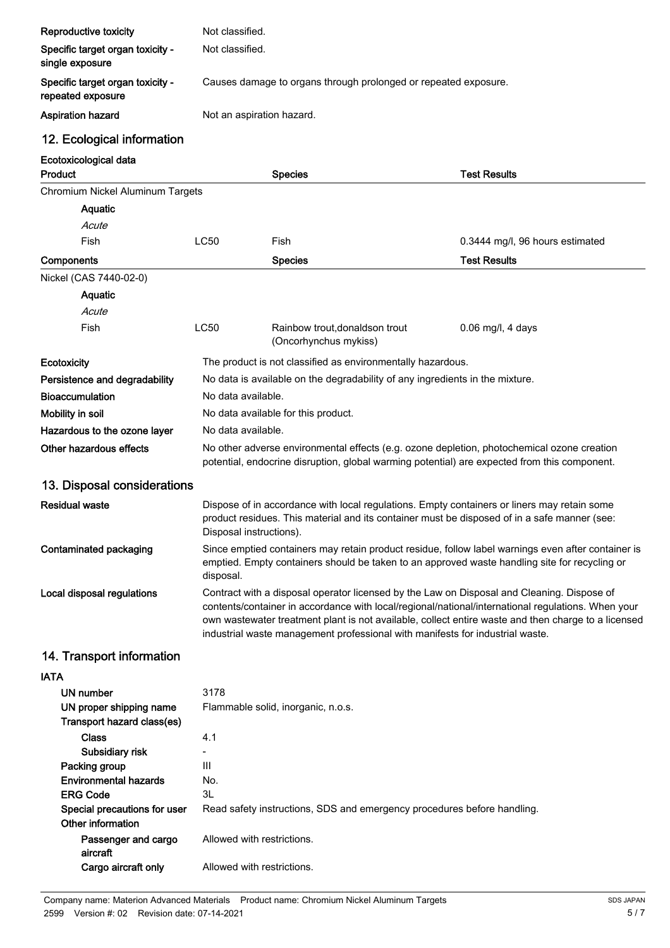| Reproductive toxicity                                 | Not classified.                                                                                                                                                                                                                                                                                                                                                                          |                                                                                                                                                                                            |                                 |  |
|-------------------------------------------------------|------------------------------------------------------------------------------------------------------------------------------------------------------------------------------------------------------------------------------------------------------------------------------------------------------------------------------------------------------------------------------------------|--------------------------------------------------------------------------------------------------------------------------------------------------------------------------------------------|---------------------------------|--|
| Specific target organ toxicity -<br>single exposure   | Not classified.                                                                                                                                                                                                                                                                                                                                                                          |                                                                                                                                                                                            |                                 |  |
| Specific target organ toxicity -<br>repeated exposure | Causes damage to organs through prolonged or repeated exposure.                                                                                                                                                                                                                                                                                                                          |                                                                                                                                                                                            |                                 |  |
| <b>Aspiration hazard</b>                              | Not an aspiration hazard.                                                                                                                                                                                                                                                                                                                                                                |                                                                                                                                                                                            |                                 |  |
| 12. Ecological information                            |                                                                                                                                                                                                                                                                                                                                                                                          |                                                                                                                                                                                            |                                 |  |
| Ecotoxicological data<br>Product                      |                                                                                                                                                                                                                                                                                                                                                                                          | <b>Species</b>                                                                                                                                                                             | <b>Test Results</b>             |  |
| Chromium Nickel Aluminum Targets                      |                                                                                                                                                                                                                                                                                                                                                                                          |                                                                                                                                                                                            |                                 |  |
| Aquatic                                               |                                                                                                                                                                                                                                                                                                                                                                                          |                                                                                                                                                                                            |                                 |  |
| Acute                                                 |                                                                                                                                                                                                                                                                                                                                                                                          |                                                                                                                                                                                            |                                 |  |
| Fish                                                  | <b>LC50</b>                                                                                                                                                                                                                                                                                                                                                                              | Fish                                                                                                                                                                                       | 0.3444 mg/l, 96 hours estimated |  |
|                                                       |                                                                                                                                                                                                                                                                                                                                                                                          | <b>Species</b>                                                                                                                                                                             | <b>Test Results</b>             |  |
| Components                                            |                                                                                                                                                                                                                                                                                                                                                                                          |                                                                                                                                                                                            |                                 |  |
| Nickel (CAS 7440-02-0)                                |                                                                                                                                                                                                                                                                                                                                                                                          |                                                                                                                                                                                            |                                 |  |
| Aquatic                                               |                                                                                                                                                                                                                                                                                                                                                                                          |                                                                                                                                                                                            |                                 |  |
| Acute                                                 |                                                                                                                                                                                                                                                                                                                                                                                          |                                                                                                                                                                                            |                                 |  |
| Fish                                                  | <b>LC50</b>                                                                                                                                                                                                                                                                                                                                                                              | Rainbow trout, donaldson trout<br>(Oncorhynchus mykiss)                                                                                                                                    | $0.06$ mg/l, 4 days             |  |
| Ecotoxicity                                           |                                                                                                                                                                                                                                                                                                                                                                                          | The product is not classified as environmentally hazardous.                                                                                                                                |                                 |  |
| Persistence and degradability                         |                                                                                                                                                                                                                                                                                                                                                                                          | No data is available on the degradability of any ingredients in the mixture.                                                                                                               |                                 |  |
| <b>Bioaccumulation</b>                                | No data available.                                                                                                                                                                                                                                                                                                                                                                       |                                                                                                                                                                                            |                                 |  |
| Mobility in soil                                      |                                                                                                                                                                                                                                                                                                                                                                                          | No data available for this product.                                                                                                                                                        |                                 |  |
| Hazardous to the ozone layer                          | No data available.                                                                                                                                                                                                                                                                                                                                                                       |                                                                                                                                                                                            |                                 |  |
| Other hazardous effects                               |                                                                                                                                                                                                                                                                                                                                                                                          | No other adverse environmental effects (e.g. ozone depletion, photochemical ozone creation<br>potential, endocrine disruption, global warming potential) are expected from this component. |                                 |  |
| 13. Disposal considerations                           |                                                                                                                                                                                                                                                                                                                                                                                          |                                                                                                                                                                                            |                                 |  |
| <b>Residual waste</b>                                 | Dispose of in accordance with local regulations. Empty containers or liners may retain some<br>product residues. This material and its container must be disposed of in a safe manner (see:<br>Disposal instructions).                                                                                                                                                                   |                                                                                                                                                                                            |                                 |  |
| Contaminated packaging                                | Since emptied containers may retain product residue, follow label warnings even after container is<br>emptied. Empty containers should be taken to an approved waste handling site for recycling or<br>disposal.                                                                                                                                                                         |                                                                                                                                                                                            |                                 |  |
| Local disposal regulations                            | Contract with a disposal operator licensed by the Law on Disposal and Cleaning. Dispose of<br>contents/container in accordance with local/regional/national/international regulations. When your<br>own wastewater treatment plant is not available, collect entire waste and then charge to a licensed<br>industrial waste management professional with manifests for industrial waste. |                                                                                                                                                                                            |                                 |  |
| 14. Transport information                             |                                                                                                                                                                                                                                                                                                                                                                                          |                                                                                                                                                                                            |                                 |  |
| <b>IATA</b>                                           |                                                                                                                                                                                                                                                                                                                                                                                          |                                                                                                                                                                                            |                                 |  |
| <b>UN number</b>                                      | 3178                                                                                                                                                                                                                                                                                                                                                                                     |                                                                                                                                                                                            |                                 |  |
| UN proper shipping name<br>Transport hazard class(es) |                                                                                                                                                                                                                                                                                                                                                                                          | Flammable solid, inorganic, n.o.s.                                                                                                                                                         |                                 |  |
| <b>Class</b>                                          | 4.1                                                                                                                                                                                                                                                                                                                                                                                      |                                                                                                                                                                                            |                                 |  |
| Subsidiary risk                                       |                                                                                                                                                                                                                                                                                                                                                                                          |                                                                                                                                                                                            |                                 |  |
| Packing group                                         | Ш                                                                                                                                                                                                                                                                                                                                                                                        |                                                                                                                                                                                            |                                 |  |
| <b>Environmental hazards</b>                          | No.                                                                                                                                                                                                                                                                                                                                                                                      |                                                                                                                                                                                            |                                 |  |
| <b>ERG Code</b>                                       | 3L                                                                                                                                                                                                                                                                                                                                                                                       |                                                                                                                                                                                            |                                 |  |
| Special precautions for user<br>Other information     | Read safety instructions, SDS and emergency procedures before handling.                                                                                                                                                                                                                                                                                                                  |                                                                                                                                                                                            |                                 |  |
| Passenger and cargo<br>aircraft                       | Allowed with restrictions.                                                                                                                                                                                                                                                                                                                                                               |                                                                                                                                                                                            |                                 |  |
| Cargo aircraft only                                   | Allowed with restrictions.                                                                                                                                                                                                                                                                                                                                                               |                                                                                                                                                                                            |                                 |  |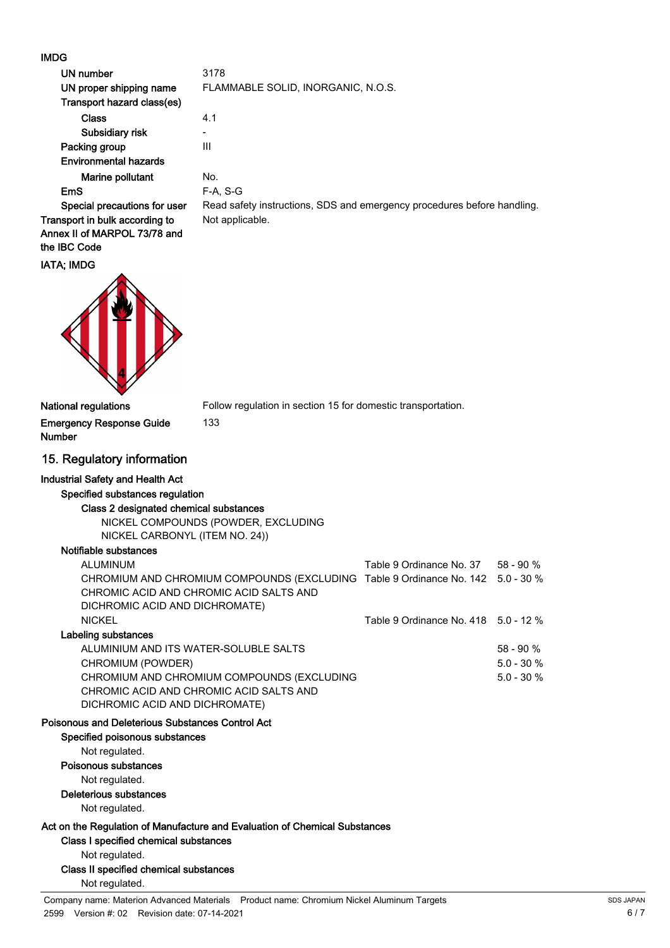### $\overline{D}$

| <b>IMDG</b>                                                                |                                                                         |
|----------------------------------------------------------------------------|-------------------------------------------------------------------------|
| UN number                                                                  | 3178                                                                    |
| UN proper shipping name                                                    | FLAMMABLE SOLID, INORGANIC, N.O.S.                                      |
| Transport hazard class(es)                                                 |                                                                         |
| <b>Class</b>                                                               | 4.1                                                                     |
| Subsidiary risk                                                            |                                                                         |
| Packing group                                                              | III                                                                     |
| <b>Environmental hazards</b>                                               |                                                                         |
| Marine pollutant                                                           | No.                                                                     |
| EmS                                                                        | <b>F-A, S-G</b>                                                         |
| Special precautions for user                                               | Read safety instructions, SDS and emergency procedures before handling. |
| Transport in bulk according to                                             | Not applicable.                                                         |
| Annex II of MARPOL 73/78 and                                               |                                                                         |
| the IBC Code                                                               |                                                                         |
| <b>IATA; IMDG</b>                                                          |                                                                         |
| <b>National regulations</b>                                                | Follow regulation in section 15 for domestic transportation.            |
| <b>Emergency Response Guide</b><br><b>Number</b>                           | 133                                                                     |
| 15. Regulatory information                                                 |                                                                         |
| <b>Industrial Safety and Health Act</b><br>Specified substances regulation |                                                                         |

Class 2 designated chemical substances NICKEL COMPOUNDS (POWDER, EXCLUDING

NICKEL CARBONYL (ITEM NO. 24))

## Notifiable substances

|                                                                            | $58 - 90 \%$                                                                                                                                                  |
|----------------------------------------------------------------------------|---------------------------------------------------------------------------------------------------------------------------------------------------------------|
|                                                                            | $5.0 - 30 \%$                                                                                                                                                 |
|                                                                            | $5.0 - 30 \%$                                                                                                                                                 |
|                                                                            |                                                                                                                                                               |
|                                                                            |                                                                                                                                                               |
|                                                                            |                                                                                                                                                               |
|                                                                            |                                                                                                                                                               |
|                                                                            |                                                                                                                                                               |
|                                                                            |                                                                                                                                                               |
|                                                                            |                                                                                                                                                               |
|                                                                            |                                                                                                                                                               |
|                                                                            |                                                                                                                                                               |
| Act on the Regulation of Manufacture and Evaluation of Chemical Substances |                                                                                                                                                               |
|                                                                            |                                                                                                                                                               |
|                                                                            |                                                                                                                                                               |
|                                                                            |                                                                                                                                                               |
|                                                                            |                                                                                                                                                               |
|                                                                            | Table 9 Ordinance No. 37 58 - 90 %<br>CHROMIUM AND CHROMIUM COMPOUNDS (EXCLUDING Table 9 Ordinance No. 142 5.0 - 30 %<br>Table 9 Ordinance No. 418 5.0 - 12 % |

Company name: Materion Advanced Materials Product name: Chromium Nickel Aluminum Targets 2599 Version #: 02 Revision date: 07-14-2021